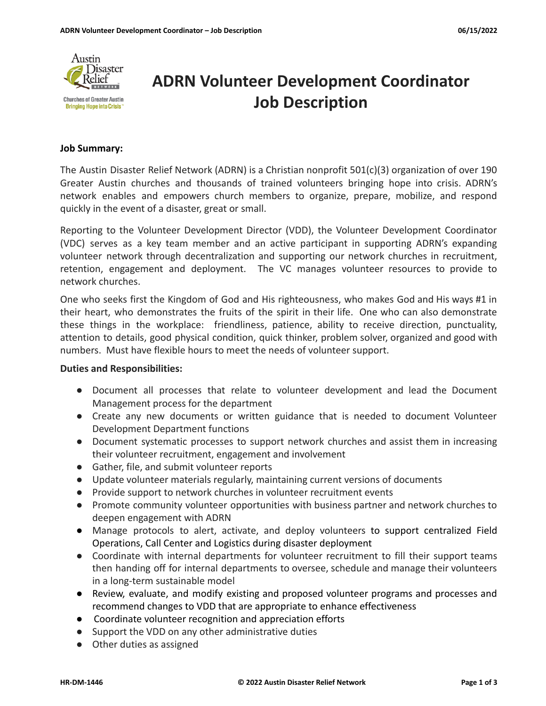

# **ADRN Volunteer Development Coordinator Job Description**

#### **Job Summary:**

The Austin Disaster Relief Network (ADRN) is a Christian nonprofit 501(c)(3) organization of over 190 Greater Austin churches and thousands of trained volunteers bringing hope into crisis. ADRN's network enables and empowers church members to organize, prepare, mobilize, and respond quickly in the event of a disaster, great or small.

Reporting to the Volunteer Development Director (VDD), the Volunteer Development Coordinator (VDC) serves as a key team member and an active participant in supporting ADRN's expanding volunteer network through decentralization and supporting our network churches in recruitment, retention, engagement and deployment. The VC manages volunteer resources to provide to network churches.

One who seeks first the Kingdom of God and His righteousness, who makes God and His ways #1 in their heart, who demonstrates the fruits of the spirit in their life. One who can also demonstrate these things in the workplace: friendliness, patience, ability to receive direction, punctuality, attention to details, good physical condition, quick thinker, problem solver, organized and good with numbers. Must have flexible hours to meet the needs of volunteer support.

### **Duties and Responsibilities:**

- Document all processes that relate to volunteer development and lead the Document Management process for the department
- Create any new documents or written guidance that is needed to document Volunteer Development Department functions
- Document systematic processes to support network churches and assist them in increasing their volunteer recruitment, engagement and involvement
- Gather, file, and submit volunteer reports
- Update volunteer materials regularly, maintaining current versions of documents
- Provide support to network churches in volunteer recruitment events
- Promote community volunteer opportunities with business partner and network churches to deepen engagement with ADRN
- Manage protocols to alert, activate, and deploy volunteers to support centralized Field Operations, Call Center and Logistics during disaster deployment
- Coordinate with internal departments for volunteer recruitment to fill their support teams then handing off for internal departments to oversee, schedule and manage their volunteers in a long-term sustainable model
- Review, evaluate, and modify existing and proposed volunteer programs and processes and recommend changes to VDD that are appropriate to enhance effectiveness
- Coordinate volunteer recognition and appreciation efforts
- Support the VDD on any other administrative duties
- Other duties as assigned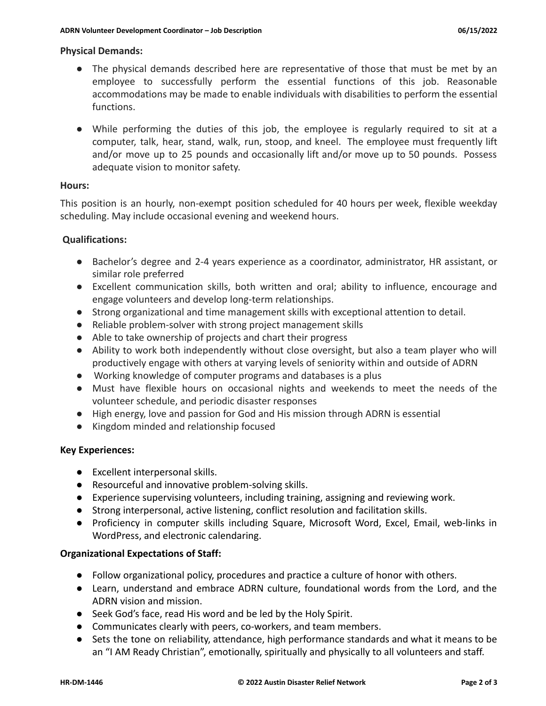## **Physical Demands:**

- The physical demands described here are representative of those that must be met by an employee to successfully perform the essential functions of this job. Reasonable accommodations may be made to enable individuals with disabilities to perform the essential functions.
- While performing the duties of this job, the employee is regularly required to sit at a computer, talk, hear, stand, walk, run, stoop, and kneel. The employee must frequently lift and/or move up to 25 pounds and occasionally lift and/or move up to 50 pounds. Possess adequate vision to monitor safety.

## **Hours:**

This position is an hourly, non-exempt position scheduled for 40 hours per week, flexible weekday scheduling. May include occasional evening and weekend hours.

## **Qualifications:**

- Bachelor's degree and 2-4 years experience as a coordinator, administrator, HR assistant, or similar role preferred
- Excellent communication skills, both written and oral; ability to influence, encourage and engage volunteers and develop long-term relationships.
- Strong organizational and time management skills with exceptional attention to detail.
- Reliable problem-solver with strong project management skills
- Able to take ownership of projects and chart their progress
- Ability to work both independently without close oversight, but also a team player who will productively engage with others at varying levels of seniority within and outside of ADRN
- Working knowledge of computer programs and databases is a plus
- Must have flexible hours on occasional nights and weekends to meet the needs of the volunteer schedule, and periodic disaster responses
- High energy, love and passion for God and His mission through ADRN is essential
- Kingdom minded and relationship focused

## **Key Experiences:**

- Excellent interpersonal skills.
- Resourceful and innovative problem-solving skills.
- Experience supervising volunteers, including training, assigning and reviewing work.
- Strong interpersonal, active listening, conflict resolution and facilitation skills.
- Proficiency in computer skills including Square, Microsoft Word, Excel, Email, web-links in WordPress, and electronic calendaring.

## **Organizational Expectations of Staff:**

- Follow organizational policy, procedures and practice a culture of honor with others.
- Learn, understand and embrace ADRN culture, foundational words from the Lord, and the ADRN vision and mission.
- Seek God's face, read His word and be led by the Holy Spirit.
- Communicates clearly with peers, co-workers, and team members.
- Sets the tone on reliability, attendance, high performance standards and what it means to be an "I AM Ready Christian", emotionally, spiritually and physically to all volunteers and staff.